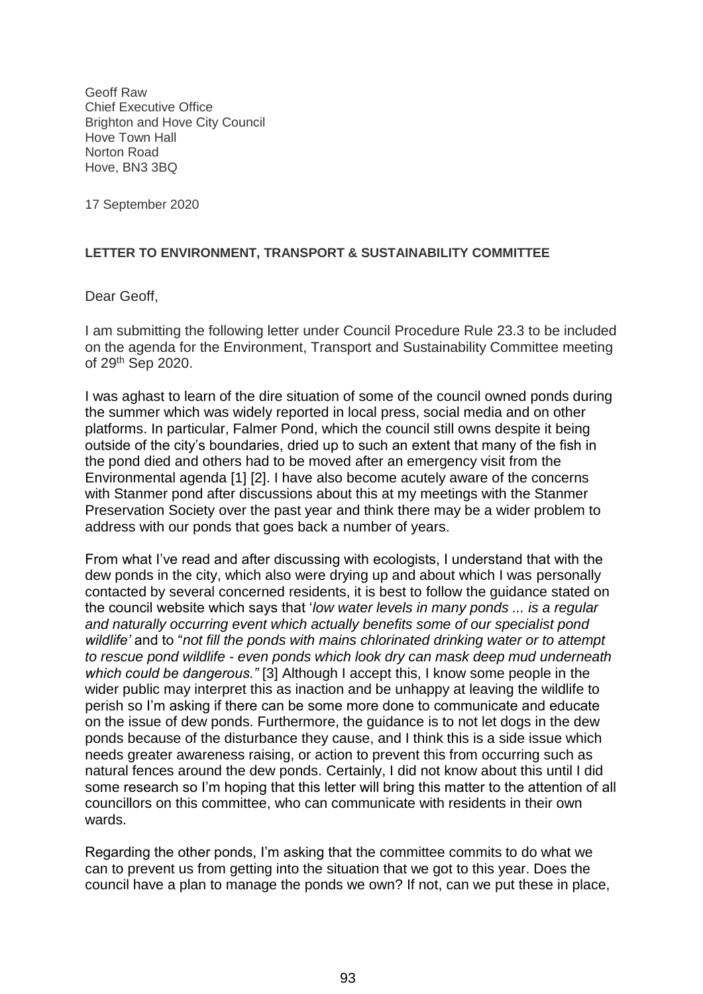Geoff Raw Chief Executive Office Brighton and Hove City Council Hove Town Hall Norton Road Hove, BN3 3BQ

17 September 2020

## **LETTER TO ENVIRONMENT, TRANSPORT & SUSTAINABILITY COMMITTEE**

Dear Geoff,

I am submitting the following letter under Council Procedure Rule 23.3 to be included on the agenda for the Environment, Transport and Sustainability Committee meeting of 29<sup>th</sup> Sep 2020.

I was aghast to learn of the dire situation of some of the council owned ponds during the summer which was widely reported in local press, social media and on other platforms. In particular, Falmer Pond, which the council still owns despite it being outside of the city's boundaries, dried up to such an extent that many of the fish in the pond died and others had to be moved after an emergency visit from the Environmental agenda [1] [2]. I have also become acutely aware of the concerns with Stanmer pond after discussions about this at my meetings with the Stanmer Preservation Society over the past year and think there may be a wider problem to address with our ponds that goes back a number of years.

From what I've read and after discussing with ecologists, I understand that with the dew ponds in the city, which also were drying up and about which I was personally contacted by several concerned residents, it is best to follow the guidance stated on the council website which says that '*low water levels in many ponds ... is a regular and naturally occurring event which actually benefits some of our specialist pond wildlife'* and to "*not fill the ponds with mains chlorinated drinking water or to attempt to rescue pond wildlife - even ponds which look dry can mask deep mud underneath which could be dangerous."* [3] Although I accept this, I know some people in the wider public may interpret this as inaction and be unhappy at leaving the wildlife to perish so I'm asking if there can be some more done to communicate and educate on the issue of dew ponds. Furthermore, the guidance is to not let dogs in the dew ponds because of the disturbance they cause, and I think this is a side issue which needs greater awareness raising, or action to prevent this from occurring such as natural fences around the dew ponds. Certainly, I did not know about this until I did some research so I'm hoping that this letter will bring this matter to the attention of all councillors on this committee, who can communicate with residents in their own wards.

Regarding the other ponds, I'm asking that the committee commits to do what we can to prevent us from getting into the situation that we got to this year. Does the council have a plan to manage the ponds we own? If not, can we put these in place,